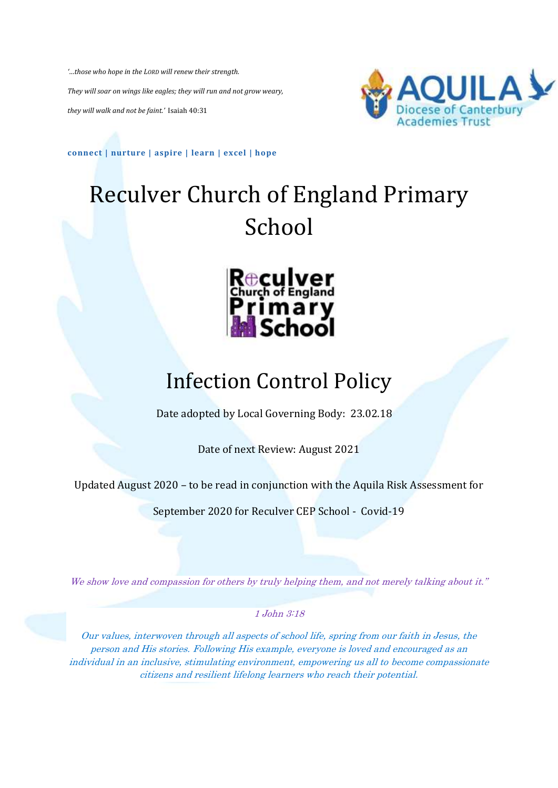*'…those who hope in the LORD will renew their strength. They will soar on wings like eagles; they will run and not grow weary, they will walk and not be faint.'* Isaiah 40:31



**connect | nurture | aspire | learn | excel | hope**

# Reculver Church of England Primary School



# Infection Control Policy

Date adopted by Local Governing Body: 23.02.18

Date of next Review: August 2021

Updated August 2020 – to be read in conjunction with the Aquila Risk Assessment for

September 2020 for Reculver CEP School - Covid-19

We show love and compassion for others by truly helping them, and not merely talking about it."

1 John 3:18

Our values, interwoven through all aspects of school life, spring from our faith in Jesus, the person and His stories. Following His example, everyone is loved and encouraged as an individual in an inclusive, stimulating environment, empowering us all to become compassionate citizens and resilient lifelong learners who reach their potential.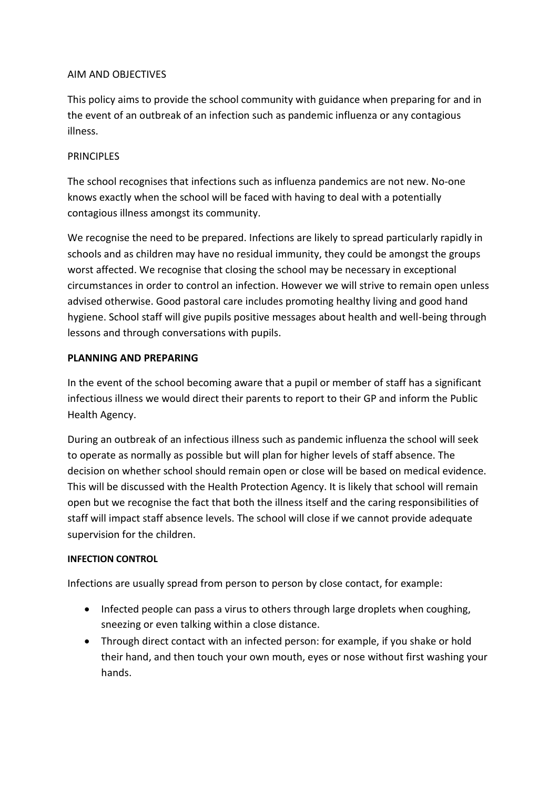#### AIM AND OBJECTIVES

This policy aims to provide the school community with guidance when preparing for and in the event of an outbreak of an infection such as pandemic influenza or any contagious illness.

#### **PRINCIPLES**

The school recognises that infections such as influenza pandemics are not new. No-one knows exactly when the school will be faced with having to deal with a potentially contagious illness amongst its community.

We recognise the need to be prepared. Infections are likely to spread particularly rapidly in schools and as children may have no residual immunity, they could be amongst the groups worst affected. We recognise that closing the school may be necessary in exceptional circumstances in order to control an infection. However we will strive to remain open unless advised otherwise. Good pastoral care includes promoting healthy living and good hand hygiene. School staff will give pupils positive messages about health and well-being through lessons and through conversations with pupils.

#### **PLANNING AND PREPARING**

In the event of the school becoming aware that a pupil or member of staff has a significant infectious illness we would direct their parents to report to their GP and inform the Public Health Agency.

During an outbreak of an infectious illness such as pandemic influenza the school will seek to operate as normally as possible but will plan for higher levels of staff absence. The decision on whether school should remain open or close will be based on medical evidence. This will be discussed with the Health Protection Agency. It is likely that school will remain open but we recognise the fact that both the illness itself and the caring responsibilities of staff will impact staff absence levels. The school will close if we cannot provide adequate supervision for the children.

#### **INFECTION CONTROL**

Infections are usually spread from person to person by close contact, for example:

- Infected people can pass a virus to others through large droplets when coughing, sneezing or even talking within a close distance.
- Through direct contact with an infected person: for example, if you shake or hold their hand, and then touch your own mouth, eyes or nose without first washing your hands.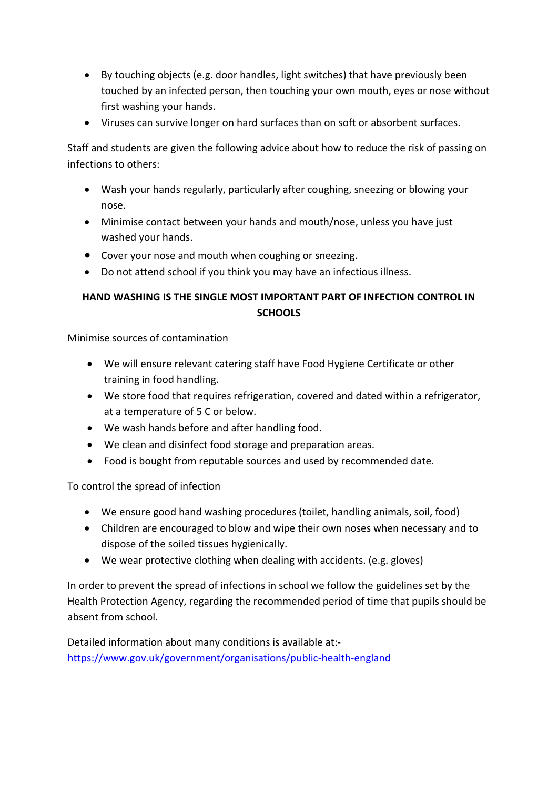- By touching objects (e.g. door handles, light switches) that have previously been touched by an infected person, then touching your own mouth, eyes or nose without first washing your hands.
- Viruses can survive longer on hard surfaces than on soft or absorbent surfaces.

Staff and students are given the following advice about how to reduce the risk of passing on infections to others:

- Wash your hands regularly, particularly after coughing, sneezing or blowing your nose.
- Minimise contact between your hands and mouth/nose, unless you have just washed your hands.
- Cover your nose and mouth when coughing or sneezing.
- Do not attend school if you think you may have an infectious illness.

# **HAND WASHING IS THE SINGLE MOST IMPORTANT PART OF INFECTION CONTROL IN SCHOOLS**

Minimise sources of contamination

- We will ensure relevant catering staff have Food Hygiene Certificate or other training in food handling.
- We store food that requires refrigeration, covered and dated within a refrigerator, at a temperature of 5 C or below.
- We wash hands before and after handling food.
- We clean and disinfect food storage and preparation areas.
- Food is bought from reputable sources and used by recommended date.

To control the spread of infection

- We ensure good hand washing procedures (toilet, handling animals, soil, food)
- Children are encouraged to blow and wipe their own noses when necessary and to dispose of the soiled tissues hygienically.
- We wear protective clothing when dealing with accidents. (e.g. gloves)

In order to prevent the spread of infections in school we follow the guidelines set by the Health Protection Agency, regarding the recommended period of time that pupils should be absent from school.

Detailed information about many conditions is available at: <https://www.gov.uk/government/organisations/public-health-england>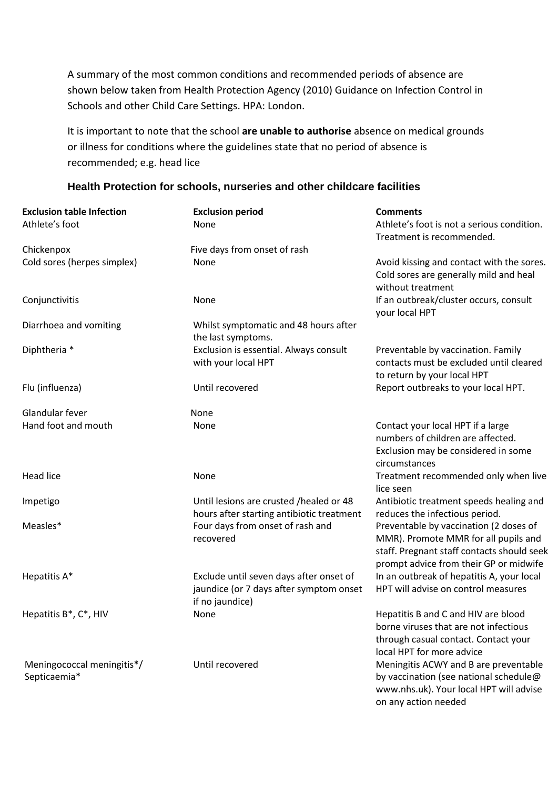A summary of the most common conditions and recommended periods of absence are shown below taken from Health Protection Agency (2010) Guidance on Infection Control in Schools and other Child Care Settings. HPA: London.

It is important to note that the school **are unable to authorise** absence on medical grounds or illness for conditions where the guidelines state that no period of absence is recommended; e.g. head lice

#### **Health Protection for schools, nurseries and other childcare facilities**

| <b>Exclusion table Infection</b><br>Athlete's foot | <b>Exclusion period</b><br>None                                                                       | <b>Comments</b><br>Athlete's foot is not a serious condition.<br>Treatment is recommended.                                                                             |
|----------------------------------------------------|-------------------------------------------------------------------------------------------------------|------------------------------------------------------------------------------------------------------------------------------------------------------------------------|
| Chickenpox                                         | Five days from onset of rash                                                                          |                                                                                                                                                                        |
| Cold sores (herpes simplex)                        | None                                                                                                  | Avoid kissing and contact with the sores.<br>Cold sores are generally mild and heal<br>without treatment                                                               |
| Conjunctivitis                                     | None                                                                                                  | If an outbreak/cluster occurs, consult<br>your local HPT                                                                                                               |
| Diarrhoea and vomiting                             | Whilst symptomatic and 48 hours after<br>the last symptoms.                                           |                                                                                                                                                                        |
| Diphtheria *                                       | Exclusion is essential. Always consult<br>with your local HPT                                         | Preventable by vaccination. Family<br>contacts must be excluded until cleared<br>to return by your local HPT                                                           |
| Flu (influenza)                                    | Until recovered                                                                                       | Report outbreaks to your local HPT.                                                                                                                                    |
| Glandular fever                                    | None                                                                                                  |                                                                                                                                                                        |
| Hand foot and mouth                                | None                                                                                                  | Contact your local HPT if a large<br>numbers of children are affected.<br>Exclusion may be considered in some<br>circumstances                                         |
| <b>Head lice</b>                                   | None                                                                                                  | Treatment recommended only when live<br>lice seen                                                                                                                      |
| Impetigo                                           | Until lesions are crusted /healed or 48<br>hours after starting antibiotic treatment                  | Antibiotic treatment speeds healing and<br>reduces the infectious period.                                                                                              |
| Measles*                                           | Four days from onset of rash and<br>recovered                                                         | Preventable by vaccination (2 doses of<br>MMR). Promote MMR for all pupils and<br>staff. Pregnant staff contacts should seek<br>prompt advice from their GP or midwife |
| Hepatitis A*                                       | Exclude until seven days after onset of<br>jaundice (or 7 days after symptom onset<br>if no jaundice) | In an outbreak of hepatitis A, your local<br>HPT will advise on control measures                                                                                       |
| Hepatitis B*, C*, HIV                              | None                                                                                                  | Hepatitis B and C and HIV are blood<br>borne viruses that are not infectious<br>through casual contact. Contact your<br>local HPT for more advice                      |
| Meningococcal meningitis*/<br>Septicaemia*         | Until recovered                                                                                       | Meningitis ACWY and B are preventable<br>by vaccination (see national schedule@<br>www.nhs.uk). Your local HPT will advise<br>on any action needed                     |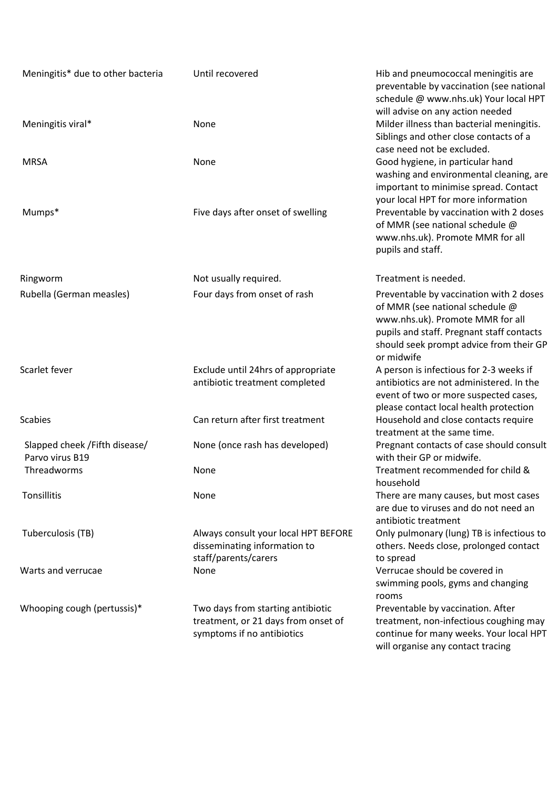| Meningitis* due to other bacteria                | Until recovered                                                                                        | Hib and pneumococcal meningitis are<br>preventable by vaccination (see national<br>schedule @ www.nhs.uk) Your local HPT                                                                                             |
|--------------------------------------------------|--------------------------------------------------------------------------------------------------------|----------------------------------------------------------------------------------------------------------------------------------------------------------------------------------------------------------------------|
| Meningitis viral*                                | None                                                                                                   | will advise on any action needed<br>Milder illness than bacterial meningitis.<br>Siblings and other close contacts of a<br>case need not be excluded.                                                                |
| <b>MRSA</b>                                      | None                                                                                                   | Good hygiene, in particular hand<br>washing and environmental cleaning, are<br>important to minimise spread. Contact<br>your local HPT for more information                                                          |
| Mumps*                                           | Five days after onset of swelling                                                                      | Preventable by vaccination with 2 doses<br>of MMR (see national schedule @<br>www.nhs.uk). Promote MMR for all<br>pupils and staff.                                                                                  |
| Ringworm                                         | Not usually required.                                                                                  | Treatment is needed.                                                                                                                                                                                                 |
| Rubella (German measles)                         | Four days from onset of rash                                                                           | Preventable by vaccination with 2 doses<br>of MMR (see national schedule @<br>www.nhs.uk). Promote MMR for all<br>pupils and staff. Pregnant staff contacts<br>should seek prompt advice from their GP<br>or midwife |
| Scarlet fever                                    | Exclude until 24hrs of appropriate<br>antibiotic treatment completed                                   | A person is infectious for 2-3 weeks if<br>antibiotics are not administered. In the<br>event of two or more suspected cases,<br>please contact local health protection                                               |
| <b>Scabies</b>                                   | Can return after first treatment                                                                       | Household and close contacts require<br>treatment at the same time.                                                                                                                                                  |
| Slapped cheek /Fifth disease/<br>Parvo virus B19 | None (once rash has developed)                                                                         | Pregnant contacts of case should consult<br>with their GP or midwife.                                                                                                                                                |
| Threadworms                                      | None                                                                                                   | Treatment recommended for child &<br>household                                                                                                                                                                       |
| Tonsillitis                                      | None                                                                                                   | There are many causes, but most cases<br>are due to viruses and do not need an<br>antibiotic treatment                                                                                                               |
| Tuberculosis (TB)                                | Always consult your local HPT BEFORE<br>disseminating information to<br>staff/parents/carers           | Only pulmonary (lung) TB is infectious to<br>others. Needs close, prolonged contact<br>to spread                                                                                                                     |
| Warts and verrucae                               | None                                                                                                   | Verrucae should be covered in<br>swimming pools, gyms and changing<br>rooms                                                                                                                                          |
| Whooping cough (pertussis)*                      | Two days from starting antibiotic<br>treatment, or 21 days from onset of<br>symptoms if no antibiotics | Preventable by vaccination. After<br>treatment, non-infectious coughing may<br>continue for many weeks. Your local HPT<br>will organise any contact tracing                                                          |